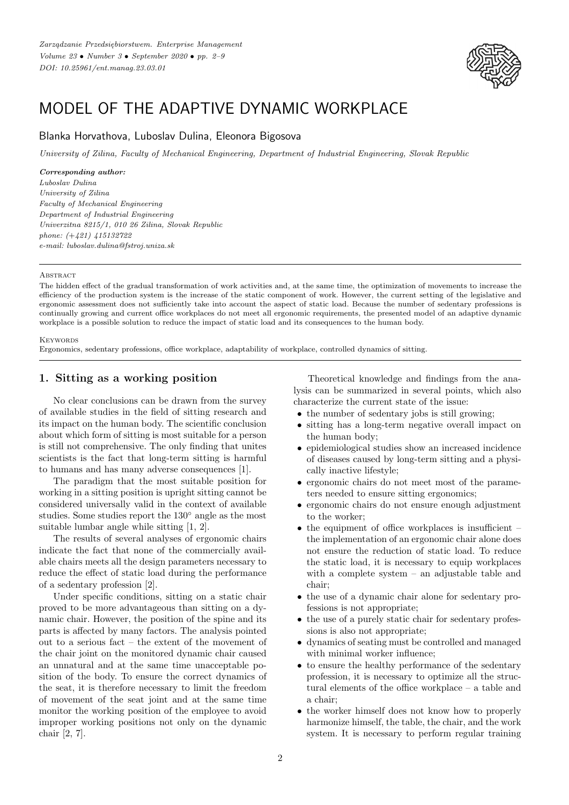

# MODEL OF THE ADAPTIVE DYNAMIC WORKPLACE

# Blanka Horvathova, Luboslav Dulina, Eleonora Bigosova

*University of Zilina, Faculty of Mechanical Engineering, Department of Industrial Engineering, Slovak Republic*

#### *Corresponding author:*

*Luboslav Dulina University of Zilina Faculty of Mechanical Engineering Department of Industrial Engineering Univerzitna 8215/1, 010 26 Zilina, Slovak Republic phone: (*+*421) 415132722 e-mail: luboslav.dulina@fstroj.uniza.sk*

#### **ABSTRACT**

The hidden effect of the gradual transformation of work activities and, at the same time, the optimization of movements to increase the efficiency of the production system is the increase of the static component of work. However, the current setting of the legislative and ergonomic assessment does not sufficiently take into account the aspect of static load. Because the number of sedentary professions is continually growing and current office workplaces do not meet all ergonomic requirements, the presented model of an adaptive dynamic workplace is a possible solution to reduce the impact of static load and its consequences to the human body.

#### **KEYWORDS**

Ergonomics, sedentary professions, office workplace, adaptability of workplace, controlled dynamics of sitting.

# **1. Sitting as a working position**

No clear conclusions can be drawn from the survey of available studies in the field of sitting research and its impact on the human body. The scientific conclusion about which form of sitting is most suitable for a person is still not comprehensive. The only finding that unites scientists is the fact that long-term sitting is harmful to humans and has many adverse consequences [1].

The paradigm that the most suitable position for working in a sitting position is upright sitting cannot be considered universally valid in the context of available studies. Some studies report the 130◦ angle as the most suitable lumbar angle while sitting [1, 2].

The results of several analyses of ergonomic chairs indicate the fact that none of the commercially available chairs meets all the design parameters necessary to reduce the effect of static load during the performance of a sedentary profession [2].

Under specific conditions, sitting on a static chair proved to be more advantageous than sitting on a dynamic chair. However, the position of the spine and its parts is affected by many factors. The analysis pointed out to a serious fact – the extent of the movement of the chair joint on the monitored dynamic chair caused an unnatural and at the same time unacceptable position of the body. To ensure the correct dynamics of the seat, it is therefore necessary to limit the freedom of movement of the seat joint and at the same time monitor the working position of the employee to avoid improper working positions not only on the dynamic chair [2, 7].

Theoretical knowledge and findings from the analysis can be summarized in several points, which also characterize the current state of the issue:

- the number of sedentary jobs is still growing;
- sitting has a long-term negative overall impact on the human body;
- epidemiological studies show an increased incidence of diseases caused by long-term sitting and a physically inactive lifestyle;
- ergonomic chairs do not meet most of the parameters needed to ensure sitting ergonomics;
- ergonomic chairs do not ensure enough adjustment to the worker;
- $\bullet$  the equipment of office workplaces is insufficient the implementation of an ergonomic chair alone does not ensure the reduction of static load. To reduce the static load, it is necessary to equip workplaces with a complete system – an adjustable table and chair;
- the use of a dynamic chair alone for sedentary professions is not appropriate;
- the use of a purely static chair for sedentary professions is also not appropriate;
- dynamics of seating must be controlled and managed with minimal worker influence;
- to ensure the healthy performance of the sedentary profession, it is necessary to optimize all the structural elements of the office workplace – a table and a chair;
- the worker himself does not know how to properly harmonize himself, the table, the chair, and the work system. It is necessary to perform regular training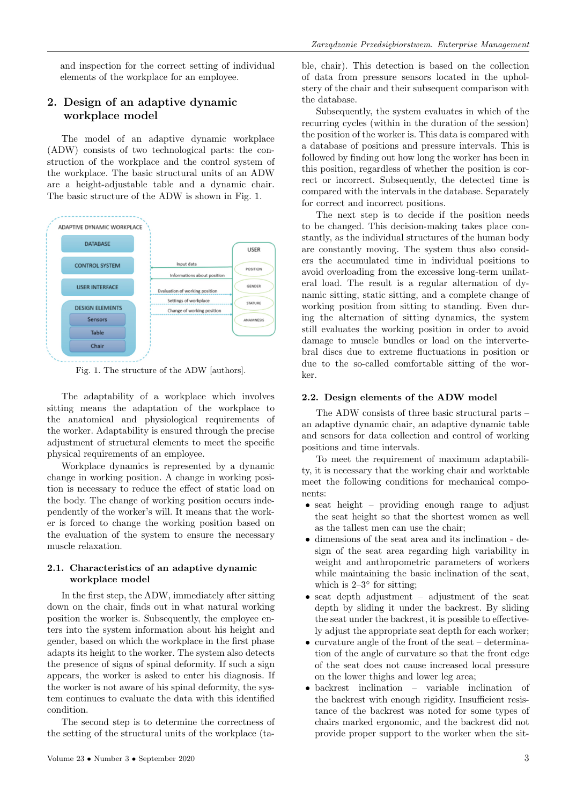and inspection for the correct setting of individual elements of the workplace for an employee.

# **2. Design of an adaptive dynamic workplace model**

The model of an adaptive dynamic workplace (ADW) consists of two technological parts: the construction of the workplace and the control system of the workplace. The basic structural units of an ADW are a height-adjustable table and a dynamic chair. The basic structure of the ADW is shown in Fig. 1.



Fig. 1. The structure of the ADW [authors].

The adaptability of a workplace which involves sitting means the adaptation of the workplace to the anatomical and physiological requirements of the worker. Adaptability is ensured through the precise adjustment of structural elements to meet the specific physical requirements of an employee.

Workplace dynamics is represented by a dynamic change in working position. A change in working position is necessary to reduce the effect of static load on the body. The change of working position occurs independently of the worker's will. It means that the worker is forced to change the working position based on the evaluation of the system to ensure the necessary muscle relaxation.

## **2.1. Characteristics of an adaptive dynamic workplace model**

In the first step, the ADW, immediately after sitting down on the chair, finds out in what natural working position the worker is. Subsequently, the employee enters into the system information about his height and gender, based on which the workplace in the first phase adapts its height to the worker. The system also detects the presence of signs of spinal deformity. If such a sign appears, the worker is asked to enter his diagnosis. If the worker is not aware of his spinal deformity, the system continues to evaluate the data with this identified condition.

The second step is to determine the correctness of the setting of the structural units of the workplace (table, chair). This detection is based on the collection of data from pressure sensors located in the upholstery of the chair and their subsequent comparison with the database.

Subsequently, the system evaluates in which of the recurring cycles (within in the duration of the session) the position of the worker is. This data is compared with a database of positions and pressure intervals. This is followed by finding out how long the worker has been in this position, regardless of whether the position is correct or incorrect. Subsequently, the detected time is compared with the intervals in the database. Separately for correct and incorrect positions.

The next step is to decide if the position needs to be changed. This decision-making takes place constantly, as the individual structures of the human body are constantly moving. The system thus also considers the accumulated time in individual positions to avoid overloading from the excessive long-term unilateral load. The result is a regular alternation of dynamic sitting, static sitting, and a complete change of working position from sitting to standing. Even during the alternation of sitting dynamics, the system still evaluates the working position in order to avoid damage to muscle bundles or load on the intervertebral discs due to extreme fluctuations in position or due to the so-called comfortable sitting of the worker.

#### **2.2. Design elements of the ADW model**

The ADW consists of three basic structural parts – an adaptive dynamic chair, an adaptive dynamic table and sensors for data collection and control of working positions and time intervals.

To meet the requirement of maximum adaptability, it is necessary that the working chair and worktable meet the following conditions for mechanical components:

- seat height providing enough range to adjust the seat height so that the shortest women as well as the tallest men can use the chair;
- dimensions of the seat area and its inclination design of the seat area regarding high variability in weight and anthropometric parameters of workers while maintaining the basic inclination of the seat, which is  $2-3°$  for sitting;
- seat depth adjustment adjustment of the seat depth by sliding it under the backrest. By sliding the seat under the backrest, it is possible to effectively adjust the appropriate seat depth for each worker;
- curvature angle of the front of the seat determination of the angle of curvature so that the front edge of the seat does not cause increased local pressure on the lower thighs and lower leg area;
- backrest inclination variable inclination of the backrest with enough rigidity. Insufficient resistance of the backrest was noted for some types of chairs marked ergonomic, and the backrest did not provide proper support to the worker when the sit-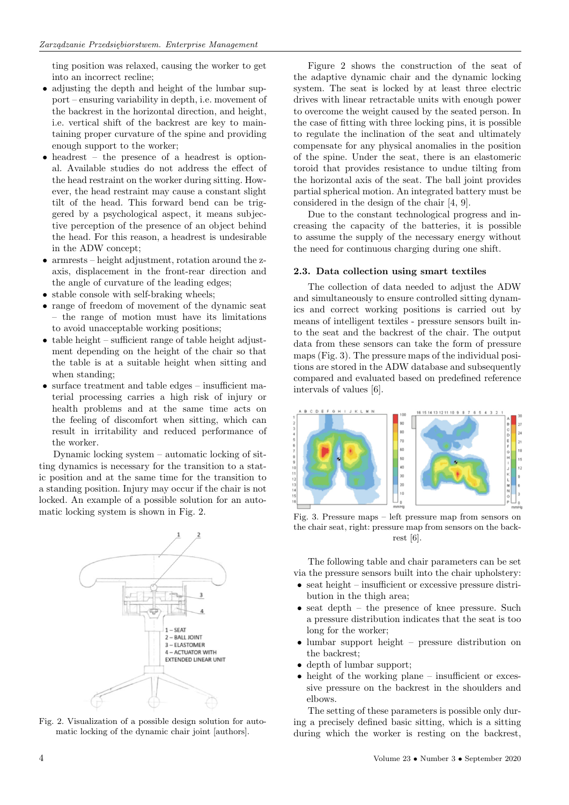ting position was relaxed, causing the worker to get into an incorrect recline;

- adjusting the depth and height of the lumbar support – ensuring variability in depth, i.e. movement of the backrest in the horizontal direction, and height, i.e. vertical shift of the backrest are key to maintaining proper curvature of the spine and providing enough support to the worker;
- headrest the presence of a headrest is optional. Available studies do not address the effect of the head restraint on the worker during sitting. However, the head restraint may cause a constant slight tilt of the head. This forward bend can be triggered by a psychological aspect, it means subjective perception of the presence of an object behind the head. For this reason, a headrest is undesirable in the ADW concept;
- armrests height adjustment, rotation around the zaxis, displacement in the front-rear direction and the angle of curvature of the leading edges;
- stable console with self-braking wheels;
- range of freedom of movement of the dynamic seat – the range of motion must have its limitations to avoid unacceptable working positions;
- table height sufficient range of table height adjustment depending on the height of the chair so that the table is at a suitable height when sitting and when standing;
- surface treatment and table edges insufficient material processing carries a high risk of injury or health problems and at the same time acts on the feeling of discomfort when sitting, which can result in irritability and reduced performance of the worker.

Dynamic locking system – automatic locking of sitting dynamics is necessary for the transition to a static position and at the same time for the transition to a standing position. Injury may occur if the chair is not locked. An example of a possible solution for an automatic locking system is shown in Fig. 2.



Fig. 2. Visualization of a possible design solution for automatic locking of the dynamic chair joint [authors].

Figure 2 shows the construction of the seat of the adaptive dynamic chair and the dynamic locking system. The seat is locked by at least three electric drives with linear retractable units with enough power to overcome the weight caused by the seated person. In the case of fitting with three locking pins, it is possible to regulate the inclination of the seat and ultimately compensate for any physical anomalies in the position of the spine. Under the seat, there is an elastomeric toroid that provides resistance to undue tilting from the horizontal axis of the seat. The ball joint provides partial spherical motion. An integrated battery must be considered in the design of the chair [4, 9].

Due to the constant technological progress and increasing the capacity of the batteries, it is possible to assume the supply of the necessary energy without the need for continuous charging during one shift.

#### **2.3. Data collection using smart textiles**

The collection of data needed to adjust the ADW and simultaneously to ensure controlled sitting dynamics and correct working positions is carried out by means of intelligent textiles - pressure sensors built into the seat and the backrest of the chair. The output data from these sensors can take the form of pressure maps (Fig. 3). The pressure maps of the individual positions are stored in the ADW database and subsequently compared and evaluated based on predefined reference intervals of values [6].



Fig. 3. Pressure maps – left pressure map from sensors on the chair seat, right: pressure map from sensors on the backrest [6].

The following table and chair parameters can be set via the pressure sensors built into the chair upholstery:

- seat height insufficient or excessive pressure distribution in the thigh area;
- seat depth the presence of knee pressure. Such a pressure distribution indicates that the seat is too long for the worker;
- lumbar support height pressure distribution on the backrest;
- depth of lumbar support;
- height of the working plane insufficient or excessive pressure on the backrest in the shoulders and elbows.

The setting of these parameters is possible only during a precisely defined basic sitting, which is a sitting during which the worker is resting on the backrest,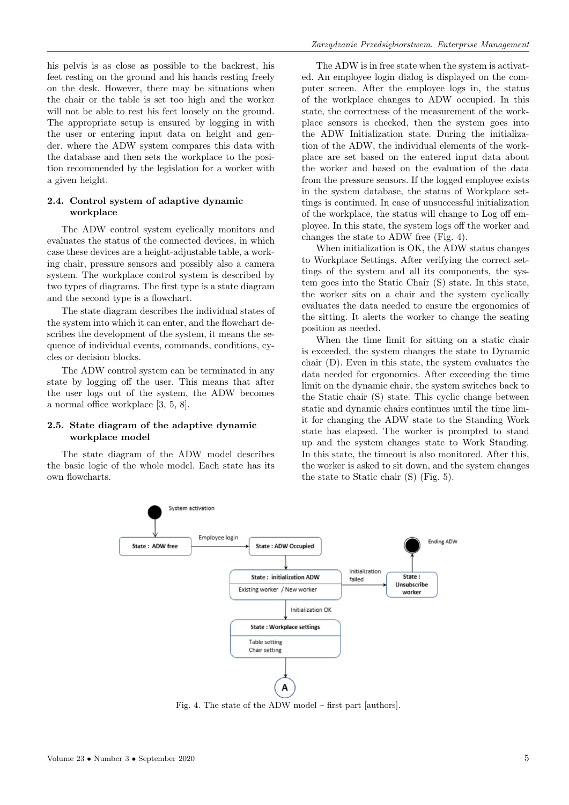his pelvis is as close as possible to the backrest, his feet resting on the ground and his hands resting freely on the desk. However, there may be situations when the chair or the table is set too high and the worker will not be able to rest his feet loosely on the ground. The appropriate setup is ensured by logging in with the user or entering input data on height and gender, where the ADW system compares this data with the database and then sets the workplace to the position recommended by the legislation for a worker with a given height.

## **2.4. Control system of adaptive dynamic workplace**

The ADW control system cyclically monitors and evaluates the status of the connected devices, in which case these devices are a height-adjustable table, a working chair, pressure sensors and possibly also a camera system. The workplace control system is described by two types of diagrams. The first type is a state diagram and the second type is a flowchart.

The state diagram describes the individual states of the system into which it can enter, and the flowchart describes the development of the system, it means the sequence of individual events, commands, conditions, cycles or decision blocks.

The ADW control system can be terminated in any state by logging off the user. This means that after the user logs out of the system, the ADW becomes a normal office workplace [3, 5, 8].

### **2.5. State diagram of the adaptive dynamic workplace model**

The state diagram of the ADW model describes the basic logic of the whole model. Each state has its own flowcharts.

The ADW is in free state when the system is activated. An employee login dialog is displayed on the computer screen. After the employee logs in, the status of the workplace changes to ADW occupied. In this state, the correctness of the measurement of the workplace sensors is checked, then the system goes into the ADW Initialization state. During the initialization of the ADW, the individual elements of the workplace are set based on the entered input data about the worker and based on the evaluation of the data from the pressure sensors. If the logged employee exists in the system database, the status of Workplace settings is continued. In case of unsuccessful initialization of the workplace, the status will change to Log off employee. In this state, the system logs off the worker and changes the state to ADW free (Fig. 4).

When initialization is OK, the ADW status changes to Workplace Settings. After verifying the correct settings of the system and all its components, the system goes into the Static Chair (S) state. In this state, the worker sits on a chair and the system cyclically evaluates the data needed to ensure the ergonomics of the sitting. It alerts the worker to change the seating position as needed.

When the time limit for sitting on a static chair is exceeded, the system changes the state to Dynamic chair (D). Even in this state, the system evaluates the data needed for ergonomics. After exceeding the time limit on the dynamic chair, the system switches back to the Static chair (S) state. This cyclic change between static and dynamic chairs continues until the time limit for changing the ADW state to the Standing Work state has elapsed. The worker is prompted to stand up and the system changes state to Work Standing. In this state, the timeout is also monitored. After this, the worker is asked to sit down, and the system changes the state to Static chair (S) (Fig. 5).



Fig. 4. The state of the ADW model – first part [authors].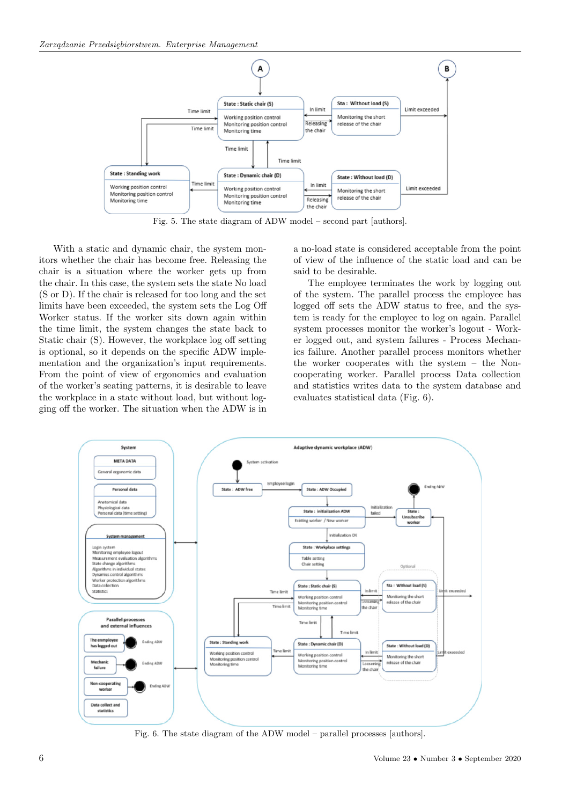

Fig. 5. The state diagram of ADW model – second part [authors].

With a static and dynamic chair, the system monitors whether the chair has become free. Releasing the chair is a situation where the worker gets up from the chair. In this case, the system sets the state No load (S or D). If the chair is released for too long and the set limits have been exceeded, the system sets the Log Off Worker status. If the worker sits down again within the time limit, the system changes the state back to Static chair (S). However, the workplace log off setting is optional, so it depends on the specific ADW implementation and the organization's input requirements. From the point of view of ergonomics and evaluation of the worker's seating patterns, it is desirable to leave the workplace in a state without load, but without logging off the worker. The situation when the ADW is in a no-load state is considered acceptable from the point of view of the influence of the static load and can be said to be desirable.

The employee terminates the work by logging out of the system. The parallel process the employee has logged off sets the ADW status to free, and the system is ready for the employee to log on again. Parallel system processes monitor the worker's logout - Worker logged out, and system failures - Process Mechanics failure. Another parallel process monitors whether the worker cooperates with the system – the Noncooperating worker. Parallel process Data collection and statistics writes data to the system database and evaluates statistical data (Fig. 6).



Fig. 6. The state diagram of the ADW model – parallel processes [authors].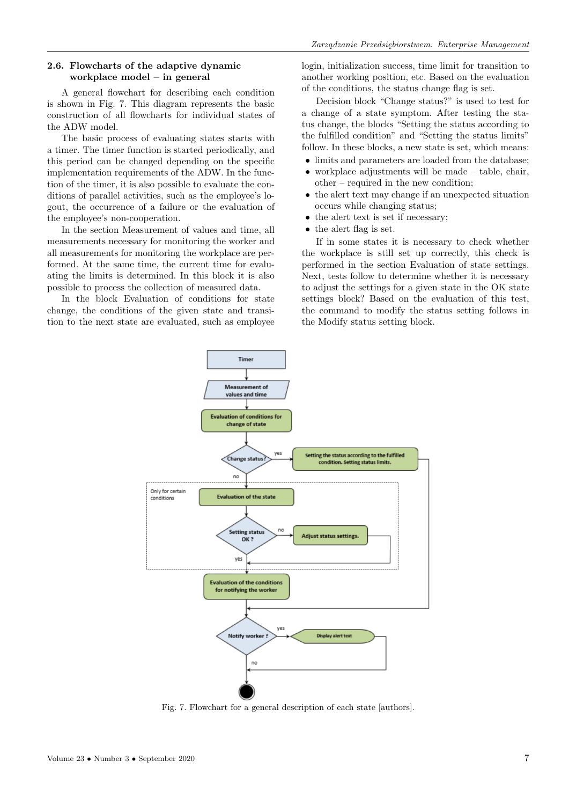## **2.6. Flowcharts of the adaptive dynamic workplace model – in general**

A general flowchart for describing each condition is shown in Fig. 7. This diagram represents the basic construction of all flowcharts for individual states of the ADW model.

The basic process of evaluating states starts with a timer. The timer function is started periodically, and this period can be changed depending on the specific implementation requirements of the ADW. In the function of the timer, it is also possible to evaluate the conditions of parallel activities, such as the employee's logout, the occurrence of a failure or the evaluation of the employee's non-cooperation.

In the section Measurement of values and time, all measurements necessary for monitoring the worker and all measurements for monitoring the workplace are performed. At the same time, the current time for evaluating the limits is determined. In this block it is also possible to process the collection of measured data.

In the block Evaluation of conditions for state change, the conditions of the given state and transition to the next state are evaluated, such as employee login, initialization success, time limit for transition to another working position, etc. Based on the evaluation of the conditions, the status change flag is set.

Decision block "Change status?" is used to test for a change of a state symptom. After testing the status change, the blocks "Setting the status according to the fulfilled condition" and "Setting the status limits" follow. In these blocks, a new state is set, which means:

- limits and parameters are loaded from the database;
- workplace adjustments will be made  $-$  table, chair, other – required in the new condition;
- the alert text may change if an unexpected situation occurs while changing status;
- the alert text is set if necessary;
- the alert flag is set.

If in some states it is necessary to check whether the workplace is still set up correctly, this check is performed in the section Evaluation of state settings. Next, tests follow to determine whether it is necessary to adjust the settings for a given state in the OK state settings block? Based on the evaluation of this test, the command to modify the status setting follows in the Modify status setting block.



Fig. 7. Flowchart for a general description of each state [authors].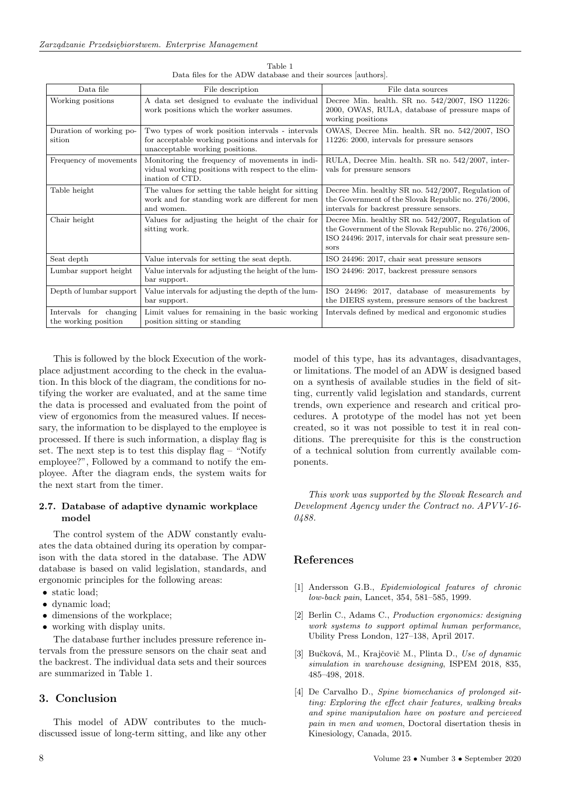| Data file                                      | File description                                                                                                                          | File data sources                                                                                                                                                            |
|------------------------------------------------|-------------------------------------------------------------------------------------------------------------------------------------------|------------------------------------------------------------------------------------------------------------------------------------------------------------------------------|
| Working positions                              | A data set designed to evaluate the individual<br>work positions which the worker assumes.                                                | Decree Min. health. SR no. 542/2007, ISO 11226:<br>2000, OWAS, RULA, database of pressure maps of<br>working positions                                                       |
| Duration of working po-<br>sition              | Two types of work position intervals - intervals<br>for acceptable working positions and intervals for<br>unacceptable working positions. | OWAS, Decree Min. health. SR no. 542/2007, ISO<br>11226: 2000, intervals for pressure sensors                                                                                |
| Frequency of movements                         | Monitoring the frequency of movements in indi-<br>vidual working positions with respect to the elim-<br>ination of CTD.                   | RULA, Decree Min. health. SR no. 542/2007, inter-<br>vals for pressure sensors                                                                                               |
| Table height                                   | The values for setting the table height for sitting<br>work and for standing work are different for men<br>and women.                     | Decree Min. healthy SR no. $542/2007$ , Regulation of<br>the Government of the Slovak Republic no. 276/2006,<br>intervals for backrest pressure sensors.                     |
| Chair height                                   | Values for adjusting the height of the chair for<br>sitting work.                                                                         | Decree Min. healthy SR no. 542/2007, Regulation of<br>the Government of the Slovak Republic no. 276/2006,<br>ISO 24496: 2017, intervals for chair seat pressure sen-<br>sors |
| Seat depth                                     | Value intervals for setting the seat depth.                                                                                               | ISO 24496: 2017, chair seat pressure sensors                                                                                                                                 |
| Lumbar support height                          | Value intervals for adjusting the height of the lum-<br>bar support.                                                                      | ISO 24496: 2017, backrest pressure sensors                                                                                                                                   |
| Depth of lumbar support                        | Value intervals for adjusting the depth of the lum-<br>bar support.                                                                       | ISO 24496: 2017, database of measurements by<br>the DIERS system, pressure sensors of the backrest                                                                           |
| Intervals for changing<br>the working position | Limit values for remaining in the basic working<br>position sitting or standing                                                           | Intervals defined by medical and ergonomic studies                                                                                                                           |

Table 1 Data files for the ADW database and their sources [authors].

This is followed by the block Execution of the workplace adjustment according to the check in the evaluation. In this block of the diagram, the conditions for notifying the worker are evaluated, and at the same time the data is processed and evaluated from the point of view of ergonomics from the measured values. If necessary, the information to be displayed to the employee is processed. If there is such information, a display flag is set. The next step is to test this display flag – "Notify employee?", Followed by a command to notify the employee. After the diagram ends, the system waits for the next start from the timer.

## **2.7. Database of adaptive dynamic workplace model**

The control system of the ADW constantly evaluates the data obtained during its operation by comparison with the data stored in the database. The ADW database is based on valid legislation, standards, and ergonomic principles for the following areas:

- static load;
- dynamic load;
- dimensions of the workplace;
- working with display units.

The database further includes pressure reference intervals from the pressure sensors on the chair seat and the backrest. The individual data sets and their sources are summarized in Table 1.

## **3. Conclusion**

This model of ADW contributes to the muchdiscussed issue of long-term sitting, and like any other model of this type, has its advantages, disadvantages, or limitations. The model of an ADW is designed based on a synthesis of available studies in the field of sitting, currently valid legislation and standards, current trends, own experience and research and critical procedures. A prototype of the model has not yet been created, so it was not possible to test it in real conditions. The prerequisite for this is the construction of a technical solution from currently available components.

*This work was supported by the Slovak Research and Development Agency under the Contract no. APVV-16- 0488.*

# **References**

- [1] Andersson G.B., *Epidemiological features of chronic low-back pain*, Lancet, 354, 581–585, 1999.
- [2] Berlin C., Adams C., *Production ergonomics: designing work systems to support optimal human performance*, Ubility Press London, 127–138, April 2017.
- [3] Buˇckov´a, M., Krajˇcoviˇc M., Plinta D., *Use of dynamic simulation in warehouse designing*, ISPEM 2018, 835, 485–498, 2018.
- [4] De Carvalho D., *Spine biomechanics of prolonged sitting: Exploring the effect chair features, walking breaks and spine maniputalion have on posture and percieved pain in men and women*, Doctoral disertation thesis in Kinesiology, Canada, 2015.